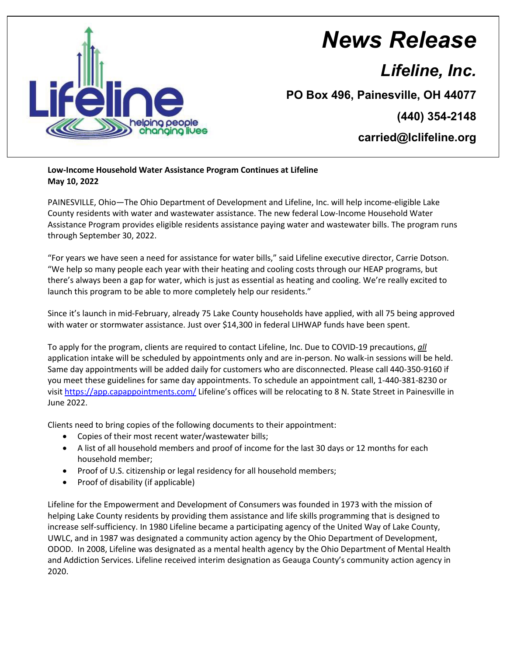

## *News Release*

*Lifeline, Inc.*

**PO Box 496, Painesville, OH 44077**

**(440) 354-2148**

**carried@lclifeline.org**

**Low-Income Household Water Assistance Program Continues at Lifeline May 10, 2022**

PAINESVILLE, Ohio—The Ohio Department of Development and Lifeline, Inc. will help income-eligible Lake County residents with water and wastewater assistance. The new federal Low-Income Household Water Assistance Program provides eligible residents assistance paying water and wastewater bills. The program runs through September 30, 2022.

"For years we have seen a need for assistance for water bills," said Lifeline executive director, Carrie Dotson. "We help so many people each year with their heating and cooling costs through our HEAP programs, but there's always been a gap for water, which is just as essential as heating and cooling. We're really excited to launch this program to be able to more completely help our residents."

Since it's launch in mid-February, already 75 Lake County households have applied, with all 75 being approved with water or stormwater assistance. Just over \$14,300 in federal LIHWAP funds have been spent.

To apply for the program, clients are required to contact Lifeline, Inc. Due to COVID-19 precautions, *all* application intake will be scheduled by appointments only and are in-person. No walk-in sessions will be held. Same day appointments will be added daily for customers who are disconnected. Please call 440-350-9160 if you meet these guidelines for same day appointments. To schedule an appointment call, 1-440-381-8230 or visit<https://app.capappointments.com/> Lifeline's offices will be relocating to 8 N. State Street in Painesville in June 2022.

Clients need to bring copies of the following documents to their appointment:

- Copies of their most recent water/wastewater bills;
- A list of all household members and proof of income for the last 30 days or 12 months for each household member;
- Proof of U.S. citizenship or legal residency for all household members;
- Proof of disability (if applicable)

Lifeline for the Empowerment and Development of Consumers was founded in 1973 with the mission of helping Lake County residents by providing them assistance and life skills programming that is designed to increase self-sufficiency. In 1980 Lifeline became a participating agency of the United Way of Lake County, UWLC, and in 1987 was designated a community action agency by the Ohio Department of Development, ODOD. In 2008, Lifeline was designated as a mental health agency by the Ohio Department of Mental Health and Addiction Services. Lifeline received interim designation as Geauga County's community action agency in 2020.